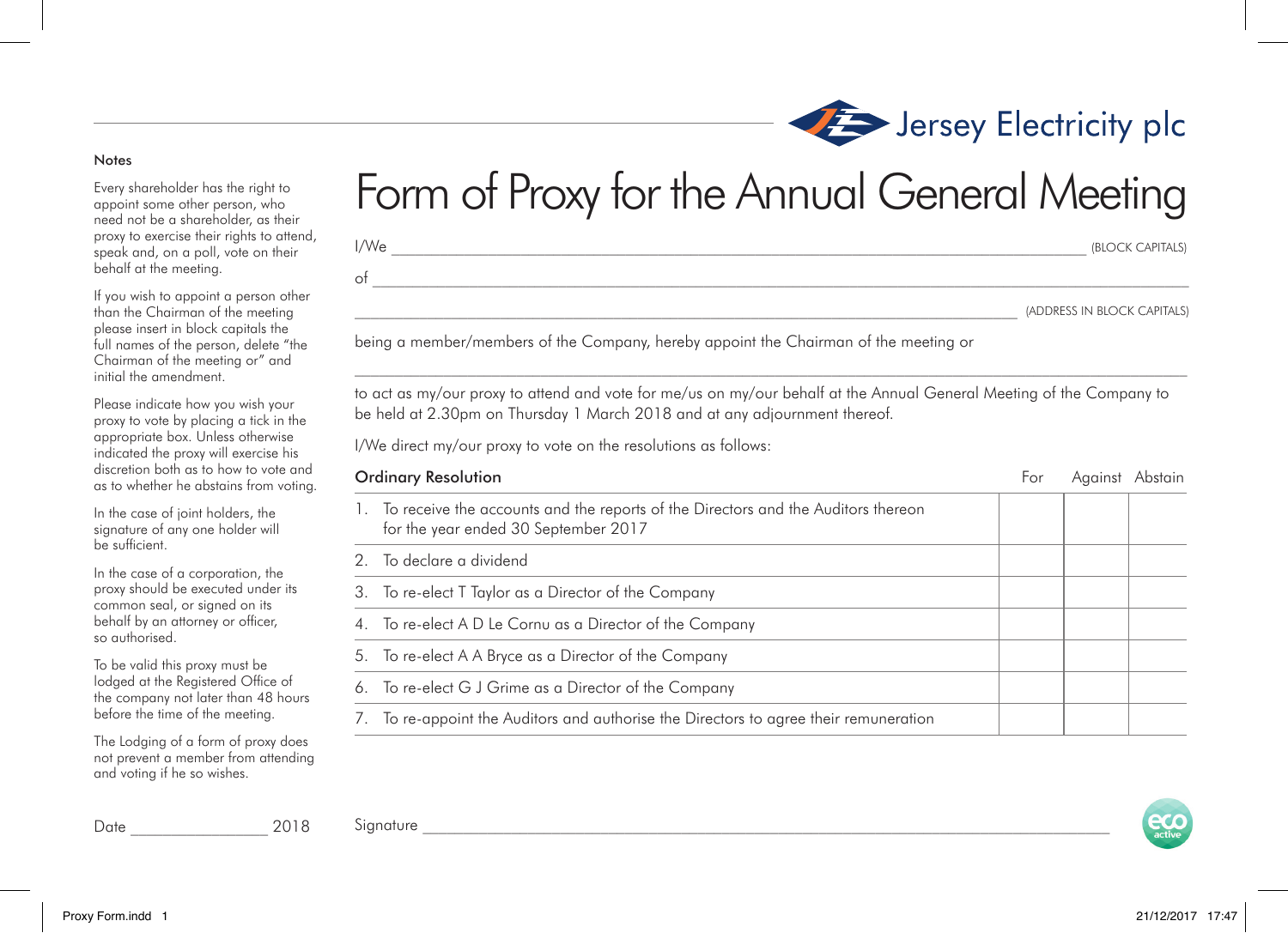## Notes

Every shareholder has the right to appoint some other person, who need not be a shareholder, as their proxy to exercise their rights to attend, speak and, on a poll, vote on their behalf at the meeting.

If you wish to appoint a person other than the Chairman of the meeting please insert in block capitals the full names of the person, delete "the Chairman of the meeting or" and initial the amendment.

Please indicate how you wish your proxy to vote by placing a tick in the appropriate box. Unless otherwise indicated the proxy will exercise his discretion both as to how to vote and as to whether he abstains from voting.

In the case of joint holders, the signature of any one holder will be sufficient.

In the case of a corporation, the proxy should be executed under its common seal, or signed on its behalf by an attorney or officer, so authorised.

To be valid this proxy must be lodged at the Registered Office of the company not later than 48 hours before the time of the meeting.

The Lodging of a form of proxy does not prevent a member from attending and voting if he so wishes.

## Form of Proxy for the Annual General Meeting

\_\_\_\_\_\_\_\_\_\_\_\_\_\_\_\_\_\_\_\_\_\_\_\_\_\_\_\_\_\_\_\_\_\_\_\_\_\_\_\_\_\_\_\_\_\_\_\_\_\_\_\_\_\_\_\_\_\_\_\_\_\_\_\_\_\_\_\_\_\_\_\_\_\_\_\_\_\_\_\_\_\_ (ADDRESS IN BLOCK CAPITALS)

being a member/members of the Company, hereby appoint the Chairman of the meeting or

 $\mathcal{L}_\text{max}$ to act as my/our proxy to attend and vote for me/us on my/our behalf at the Annual General Meeting of the Company to be held at 2.30pm on Thursday 1 March 2018 and at any adjournment thereof.

I/We direct my/our proxy to vote on the resolutions as follows:

| <b>Ordinary Resolution</b> |                                                                                                                              | For | Against | Abstain |
|----------------------------|------------------------------------------------------------------------------------------------------------------------------|-----|---------|---------|
|                            | 1. To receive the accounts and the reports of the Directors and the Auditors thereon<br>for the year ended 30 September 2017 |     |         |         |
|                            | 2. To declare a dividend                                                                                                     |     |         |         |
|                            | 3. To re-elect T Taylor as a Director of the Company                                                                         |     |         |         |
|                            | 4. To re-elect A D Le Cornu as a Director of the Company                                                                     |     |         |         |
|                            | 5. To re-elect A A Bryce as a Director of the Company                                                                        |     |         |         |
|                            | 6. To re-elect G J Grime as a Director of the Company                                                                        |     |         |         |
| $\sqrt{2}$                 | To re-appoint the Auditors and authorise the Directors to agree their remuneration                                           |     |         |         |

 ${\rm Signature}$ Date \_\_\_\_\_\_\_\_\_\_\_\_\_\_\_\_\_ 2018





Jersey Electricity plc